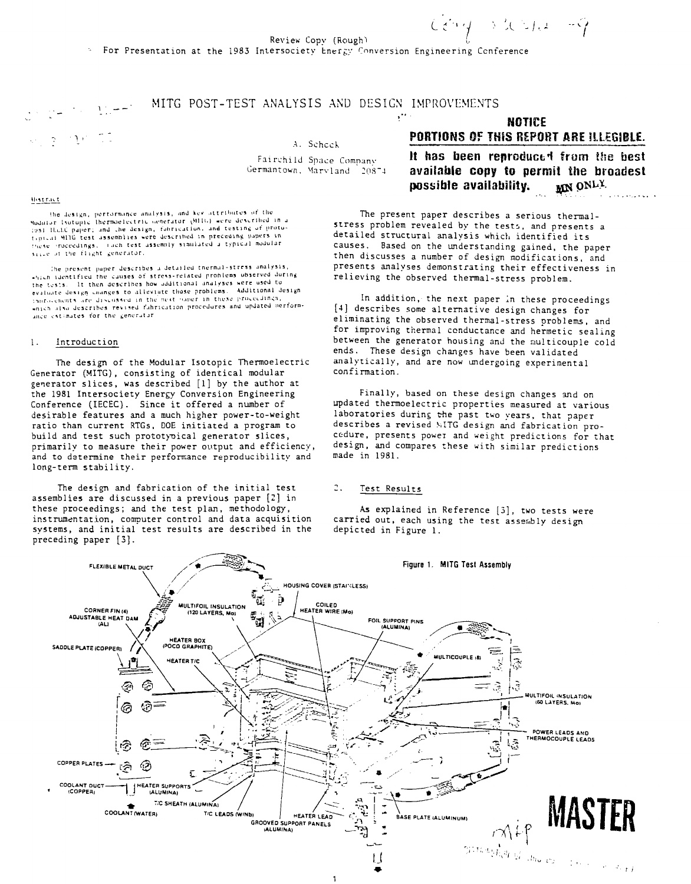## MITG POST-TEST ANALYSIS AND DESIGN IMPROVEMENTS

A. Scheck

Fairchild Space Company Germantown, Marvland 20874

#### Abstract

the design, pertormance analysis, and key attributes of the Since actingly performance analysis, must be structured in a buddler learning thermoelectric evidence described in a<br>1991 Haald paper; and the design, fabrication, and testing of proto-<br>1993 Haald paper; and the design, fa these proceedings. Then test assembly simulated a typical modular since of the flight generator.

The present paper describes a detailed thermal-stress analysis, which identified the causes of stress-related problems observed during the tests. It then describes be additional analyses were used to the tests. It then describes how additional analyses were used to evaluate design communication and proposed to accompanies that the main communications of the community of the distance of the<br>Chapters charged the community of the next sharp the these proceedings, ance estimates for the generator

#### $\mathbf{1}$ . Introduction

The design of the Modular Isotopic Thermoelectric Generator (MITG), consisting of identical modular generator slices, was described [1] by the author at the 1981 Intersociety Energy Conversion Engineering Conference (IECEC). Since it offered a number of desirable features and a much higher power-to-weight ratio than current RTGs, DOE initiated a program to build and test such prototypical generator slices, primarily to measure their power output and efficiency, and to determine their performance reproducibility and long-term stability.

The design and fabrication of the initial test assemblies are discussed in a previous paper [2] in these proceedings; and the test plan, methodology, instrumentation, computer control and data acquisition systems, and initial test results are described in the preceding paper [3].

# **NOTICE** PORTIONS OF THIS REPORT ARE ILLEGIBLE.

It has been reproduced from the best available copy to permit the broadest MN ONLY possible availability.

The present paper describes a serious thermalstress problem revealed by the tests, and presents a detailed structural analysis which identified its causes. Based on the understanding gained, the paper then discusses a number of design modifications, and presents analyses demonstrating their effectiveness in relieving the observed thermal-stress problem.

In addition, the next paper in these proceedings [4] describes some alternative design changes for eliminating the observed thermal-stress problems, and for improving thermal conductance and hermetic sealing between the generator housing and the multicouple cold ends. These design changes have been validated analytically, and are now undergoing experimental confirmation.

Finally, based on these design changes and on updated thermoelectric properties measured at various laboratories during the past two years, that paper describes a revised MITG design and fabrication procedure, presents power and weight predictions for that design, and compares these with similar predictions made in 1981.

#### $2.1$ Test Results

As explained in Reference [3], two tests were carried out, each using the test assembly design depicted in Figure 1.

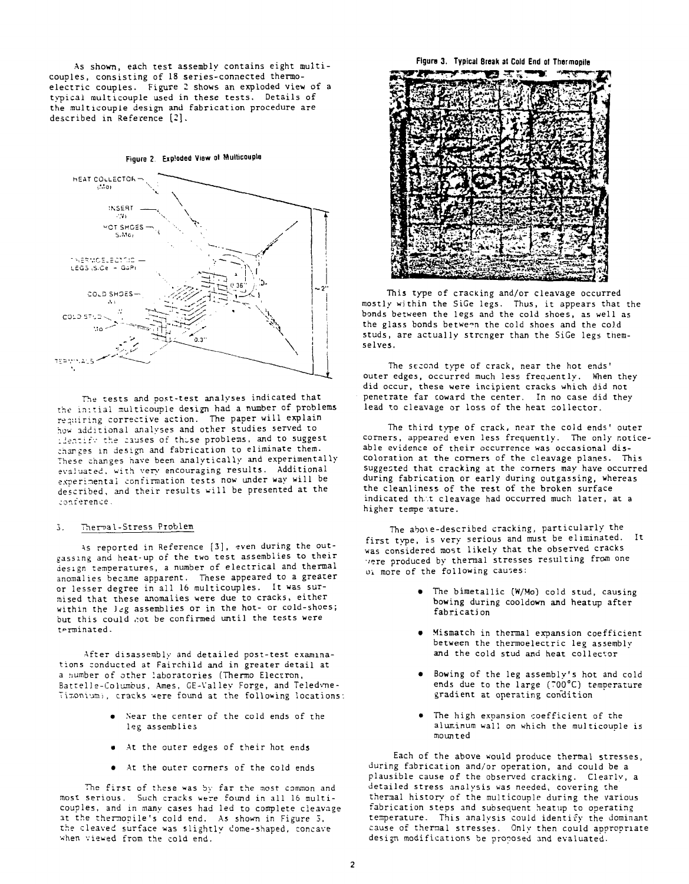As shown, each test assembly contains eight multicouples, consisting of 18 series-connected thermoelectric couples. Figure *2* shows an exploded view of a typical multicouple used in these tests. Details of the multicouple design and fabrication procedure are described in Reference [2].





The tests and post-test analyses indicated that the initial multicouple design had a number of problems requiring corrective action. The paper will explain how additional analyses and other studies served to lientifv the causes of those problems, and to suggest charges in design and fabrication to eliminate them. These changes have been analytically and experimentally evaluated, with very encouraging results. Additional experimental confirmation tests now under way will be described, and their results will be presented at the conrerence.

#### 3. Therral-Stress Problem

As reported in Reference [3], even during the outgassing and heat-up of the two test assemblies to their design temperatures, a number of electrical and thermal anomalies became apparent. Tnese appeared to a greater or lesser degree in all 16 multicouples. It was surmised that these anomalies were due to cracks, either within the Jeg assemblies or in the hot- or cold-shoes; but this could not be confirmed until the tests were terminated.

After disassembly and detailed post-test examinations conducted at Fairchild and in greater detail at a number of other laboratories (Thermo Electron, Battelle-Columbus, Ames, GE-Valley Forge, and Teledyne-Timonium), cracks were found at the following locations:

- Near the center of the cold ends of the leg assemblies
- At the outer edges of their hot ends
- At the outer corners of the cold ends

The first of these was by far the most common and most serious. Such cracks were found in all 16 multicouples, and in many cases had led to complete cleavage at the thermopile's cold end. As shown in Figure 3, the cleaved surface was slightly dome-shaped, concave when viewed from the cold end.

**Figure 3. Typical Break** at Cold **End** ol Thermopile



This type of cracking and/or cleavage occurred mostly within the SiGe legs. Thus, it appears that the bonds between the legs and the cold shoes, as well as the glass bonds between the cold shoes and the cold studs, are actually strenger than the SiGe legs themselves.

The second type of crack, near the hot ends' outer edges, occurred much less frequently. When they did occur, these were incipient cracks which did not penetrate far coward the center. In no case did they lead to cleavage or loss of the heat collector.

The third type of crack, near the cold ends' outer corners, appeared even less frequently. The only noticeable evidence of their occurrence was occasional discoloration at the corners of the cleavage planes. This suggested that cracking at the corners may have occurred during fabrication or early during outgassing, whereas the cleanliness of the rest of the broken surface indicated that cleavage had occurred much later, at a higher tempe ature.

The abo\e-described cracking, particularly the first type, is very serious and must be eliminated. It was considered most likely that the observed cracks 'ere produced by thermal stresses resulting from one oi more of the following causes:

- The bimetallic (W/Mo) cold stud, causing bowing during cooldown and heatup after fabrication
- Mismatch in thermal expansion coefficient between the thermoelectric leg assembly and the cold stud and heat collector
- Bowing of the leg assembly's hot and cold ends due to the large (700°C) temperature gradient at operating condition
- The high expansion coefficient of the aluminum wall on which the multicouple is mounted

Each of the above would produce thermal stresses, during fabrication and/or operation, and could be a plausible cause of the observed cracking. Clearlv, a detailed stress analysis was needed, covering the thermal history of the multicouple during the various fabrication steps and subsequent heatup to operating temperature. This analysis could identify the dominant cause of thermal stresses. Only then could appropriate design modifications be proposed and evaluated.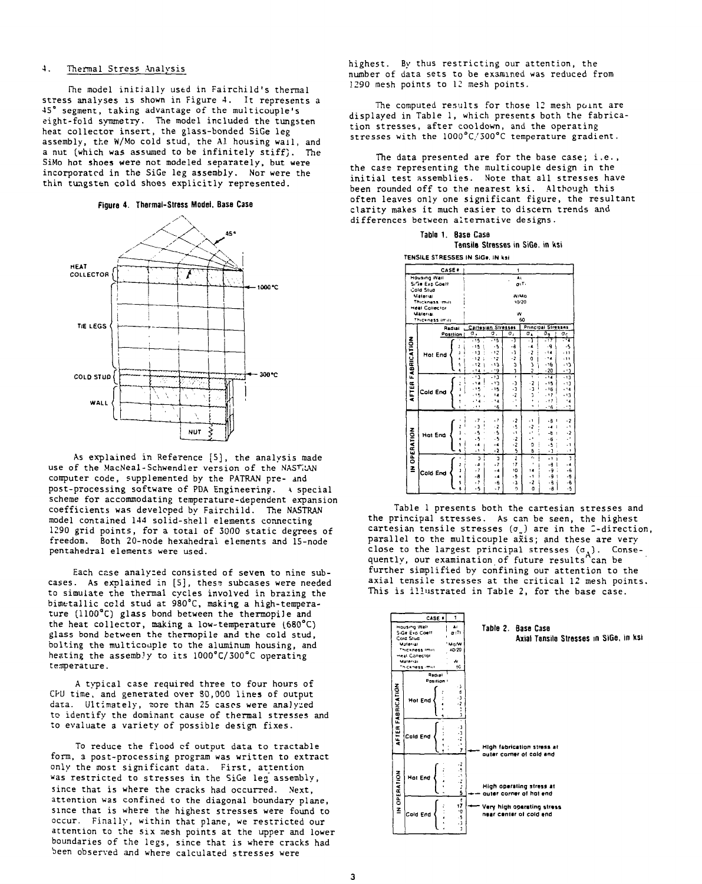#### 4. Thermal Stress Analysis

Fhe model initially used in Fairchild's thermal stress analyses is shown in Figure 4. It represents a 45° segment, taking advantage of the multicouple's eight-fold symmetry. The model included the tungsten heat collector insert, the glass-bonded SiGe leg assembly, the W/Mo cold stud, the Al housing wail, and a nut (which was assumed to be infinitely stiff). The SiMo hot shoes were not modeled separately, but were incorporated in the SiGe leg assembly. Nor were the thin tungsten cold shoes explicitly represented.

#### **Figure 4. Thermal-Stress Model, Bass Case**



As explained in Reference [5], the analysis made use of the MacNeal-Schwendler version of the NAST; AN computer code, supplemented by the PATRAN pre- and post-processing software of PDA Engineering.  $\lambda$  special scheme for accommodating temperature-dependent expansion coefficients was developed by Fairchild. The NASTRAN model contained 144 solid-shell elements connecting 1290 grid points, for a total of 3000 static degrees of freedom. Both 20-node hexahedral elements and 15-node pentahedral elements were used.

Each case analyzed consisted of seven to nine subcases. As explained in [5], thess subcases were needed to simulate the thermal cycles involved in brazing the bimetallic cold stud at 980°C, making a high-temperature (1100°C) glass bond between the thermopile and the heat collector, making a low-temperature  $(680^{\circ}C)$ glass bond between the thermopile and the cold stud, bolting the multicoaple to the aluminum housing, and heating the assembly to its 1000°C/300°C operating temperature.

A typical case required three to four hours of CPU time, and generated over 80,000 lines of output data. Ultimately, nore than 25 cases were analyzed to identify the dominant cause of thermal stresses and to evaluate a variety of possible design fixes.

To reduce the flood of output data to tractable form, a post-processing program was written to extract only the most significant data. First, attention Was restricted to stresses in the SiGe leg assembly, since that is where the cracks had occurred. Next, attention was confined to the diagonal boundary plane, since that is where the highest stresses were found to occur. Finally, within that plane, we restricted our attention to the six aesh points at the upper and lower boundaries of the legs, since that is where cracks had been observed and where calculated stresses were

highest. By thus restricting our attention, the number of data sets to be examined was reduced from 1290 mesh points to 12 mesh points.

The computed results for those 12 mesh point are displayed in Table 1, which presents both the fabrication stresses, after cooldown, and the operating stresses with the 1000°C/300°C temperature gradient.

The data presented are for the base case; i.e. , the case representing the multicouple design in the initial test assemblies. Note that all stresses have been rounded off to the nearest ksi. Although this often leaves only one significant figure, the resultant clarity makes it much easier to discern trends and differences between alternative designs.

| Table 1. Base Case               |
|----------------------------------|
| Tensile Stresses in SiGe, in ksi |

**TENSILE STRESSES IN SIG. IN ksi**

|                   | <b>CASE .</b>                    |                   |                             | $\mathbf{I}$             |                      |                         |                              |                                       |  |  |
|-------------------|----------------------------------|-------------------|-----------------------------|--------------------------|----------------------|-------------------------|------------------------------|---------------------------------------|--|--|
| Housing Wall      |                                  |                   | Âί<br>$\mathbf{u}$ .        |                          |                      |                         |                              |                                       |  |  |
|                   | Sifae Ean Coatt<br>Cald Stud     |                   |                             |                          |                      |                         |                              |                                       |  |  |
|                   | Material                         |                   |                             | WIMO                     |                      |                         |                              |                                       |  |  |
|                   | Thickness mill<br>Heat Callector |                   |                             | 10/20                    |                      |                         |                              |                                       |  |  |
|                   | Material                         |                   | w                           |                          |                      |                         |                              |                                       |  |  |
|                   | Thickness (mil)                  |                   | 60                          |                          |                      |                         |                              |                                       |  |  |
|                   | Radial                           |                   | σ.                          | Cartesian Stresses<br>٥. | σ,                   |                         | <b>Principal Stresses</b>    |                                       |  |  |
|                   |                                  | Position          | $-15$                       | - 14                     | - 7                  | $\sigma_{\star}$<br>- 1 | $\overline{\sigma_9}$<br>- 7 | σç<br>- प                             |  |  |
| AFTER FABRICATION |                                  | Ž                 | $-15$                       | -5                       | -a                   | $\ddot{\phantom{a}}$    | ٠q                           | $\cdot$                               |  |  |
|                   | Hot End                          | ĭ                 | $-13$                       | - 12                     | - 1                  | $\cdot$ 2               | - 14                         | $\cdot$ 11                            |  |  |
|                   |                                  | ė                 | $-12$                       | - 12                     | - 2                  | O                       | $\ddot{\phantom{1}}$         | $-11$                                 |  |  |
|                   |                                  | ٩                 | - 12                        | .13                      | د<br>3               | د<br>2                  | - 16                         | - 13                                  |  |  |
|                   |                                  | Á                 | $-14$<br>$\mathbf{t}$       | ۰. و.                    |                      |                         | $-20$                        | ٠١)                                   |  |  |
|                   |                                  | ×                 | - 13<br>- 14                | .11<br>- 17              | ŧ<br>$\cdot$         | Ŧ                       | ाड<br>$-15$                  | $-13$<br>$-13$                        |  |  |
|                   |                                  | ž<br>ï            | .15                         | $-15$                    | ٠,                   | $\cdot$                 | $-16$                        | .14                                   |  |  |
|                   | Cold End                         |                   | ۹                           | 14                       | ٠ż                   | $\frac{1}{2}$           | $-17$                        | .13                                   |  |  |
|                   |                                  |                   |                             | 4٠.                      | ٠                    | ۰                       | - 17                         | ٠,                                    |  |  |
|                   |                                  |                   | $\cdots$                    | ٠6                       |                      |                         | .46                          | ه .                                   |  |  |
|                   |                                  |                   | .7                          | .,                       | - 2                  | $\cdot$ 1               | -8                           | - 2<br>٠                              |  |  |
|                   |                                  |                   | د٠                          | $\cdot$ 2                | ٠š                   | -2                      | $-4$                         | $\cdot$ 1                             |  |  |
|                   | Hot End                          | ï                 | -5                          | $\cdot$ 5                | $\ddot{\phantom{1}}$ | $\cdot$                 | -6                           | $\cdot$<br>ï                          |  |  |
|                   |                                  |                   | $\cdot$                     | -5                       | $\frac{1}{2}$        | .,                      | -6                           |                                       |  |  |
|                   |                                  | ŧ                 | $\ddot{\phantom{0}}$        | -4                       | $\frac{1}{5}$        | ٥                       | $-5$                         | - 1                                   |  |  |
|                   |                                  | ś                 | ÷,                          | $\cdot$                  |                      | 6                       | - 1                          | $\ddot{\phantom{0}}$                  |  |  |
| IN OPERATION      |                                  |                   | þ                           | þ                        | 7                    | Ŧ,<br>٠                 | - 1                          | J.                                    |  |  |
|                   |                                  | ż<br><sup>1</sup> | $\ddot{\phantom{a}}$<br>- 7 | $\cdot$ 7<br>$-4$        | 17<br>10             | 14                      | -6<br>-9                     | $\overline{\phantom{a}}$<br>$\cdot 6$ |  |  |
|                   | Cold End                         | å,                | -8                          | $\ddot{\phantom{a}}$     | - 5                  | $\ddot{\phantom{0}}$    | و.                           |                                       |  |  |
|                   |                                  | 5                 | $\cdot$ ?                   | $-6$                     | - 3                  | - 2                     | ٠٩                           | $-5$<br>- 6                           |  |  |
|                   |                                  | ã                 | -5                          | $\overline{\phantom{a}}$ | 2                    | o                       | - 8                          | -5                                    |  |  |
|                   |                                  |                   |                             |                          |                      |                         |                              |                                       |  |  |

Table 1 presents both the cartesian stresses and the principal stresses. As can be seen, the highest cartesian tensile stresses  $(\sigma_{_x})$  are in the 2-direction, parallel to the multicouple axis; and these are very close to the largest principal stresses (a.) . Consequently, our examination of future results can be further simplified by confining our attention to the axial tensile stresses at the critical 12 mesh points. This is illustrated in Table 2, for the base case.

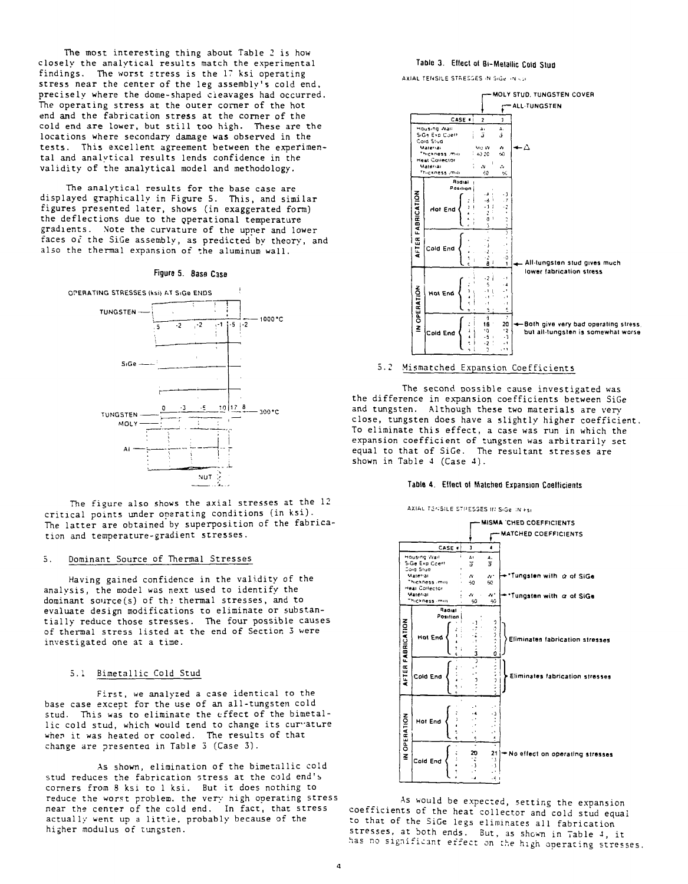The most interesting thing about Table 2 is how closely the analytical results match the experimental findings. The worst stress is the 17 ksi operating stress near the center of the leg assembly's cold end, precisely where the dome-shaped cleavages had occurred. The operating stress at the outer corner of the hot end and the fabrication stress at the corner of the cold end are lower, but still too high. These are the locations where secondary damage was observed in the tests. This excellent agreement between the experimental and analytical results lends confidence in the validity of the analytical model and methodology.

The analytical results for the base case are displayed graphically in Figure 5. This, and similar figures presented later, shows (in exaggerated form) the deflections due to the operational temperature gradients. Note the curvature of the upper and lower faces of the SiGe assembly, as predicted by theory, and also the thermal expansion of the aluminum wall.

#### Figure 5. Base Case



The figure also shows the axial stresses at the 12 critical points under operating conditions (in ksi). The latter are obtained by superposition of the fabrication and temperature-gradient stresses.

#### 5. Dominant Source of Thermal Stresses

Having gained confidence in the validity of the analysis, the model was next used to identify the dominant source(s) of the thermal stresses, and to evaluate design modifications to eliminate or substantially reduce those stresses. The four possible causes of thermal stress listed at the end of Section 3 were investigated one at a time.

#### 5.1 Bimetallic Cold Stud

First, we analyzed a case identical to the base case except for the use of an all-tungsten cold stud. This was to eliminate the effect of the bimetallic cold stud, which would tend to change its curvature when it was heated or cooled. The results of that change are presented in Table 3 (Case 3).

As shown, elimination of the bimetallic cold stud reduces the fabrication stress at the cold end's corners from 8 ksi to 1 ksi. But it does nothing to reduce the worst problem, the very nigh operating stress near the center of the cold end. In fact, that stress actually went up a little, probably because of the higher modulus of tungsten.

## **Table 3. Eltect ol Bi-Melallic Cold Stud**

AXIAL TENSILE STRESSES IN SIGe IN 5.1.



## 5.2 Mismatched Expansion Coefficients

The second possible cause investigated was the difference in expansion coefficients between SiGe and tungsten. Although these two materials are very close, tungsten does have a slightly higher coefficient. To eliminate this effect, a case was run in which the expansion coefficient of tungsten was arbitrarily set equal to that of SiCe. The resultant stresses are shown in Table 4 (Case 4).

#### **Table 4. Ellect ol Matched Expansion Coellicients**





As would be expected, setting the expansion coefficients of the heat collector and cold stud equal to that of the SiGe legs eliminates all fabrication stresses, at both ends. But, as shown in Table 4, it has no significant effect on :he high operating stresses.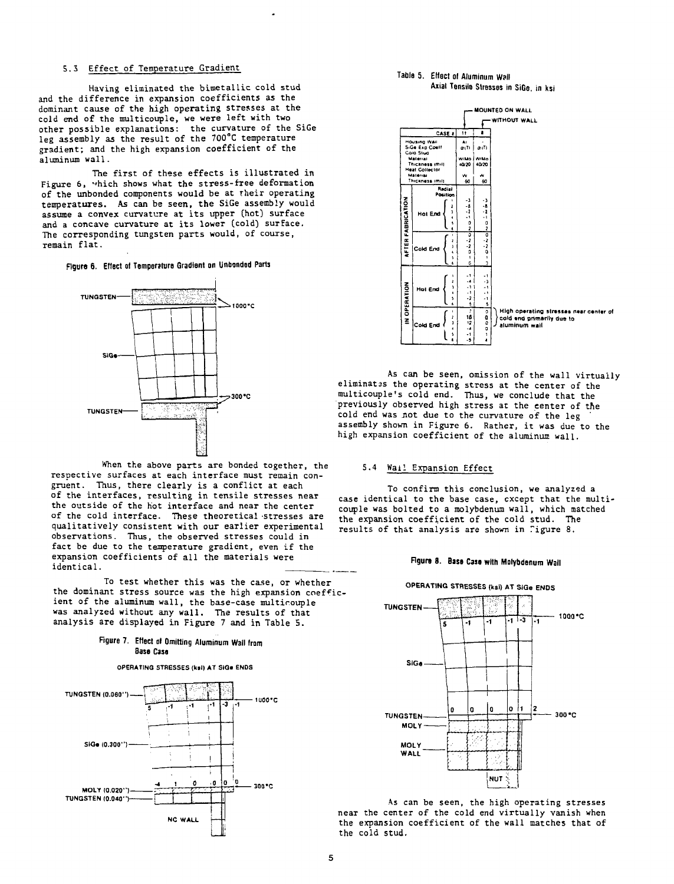### 5.3 Effect of Temperature Gradient

Having eliminated the bimetallic cold stud and the difference in expansion coefficients as the dominant cause of the high operating stresses at the cold end of the multicouple, we were left with two<br>other possible explanations: the curvature of the SiGe leg assembly as the result of the 700°C temperature gradient; and the high expansion coefficient of the .<br>aluminum wall.

The first of these effects is illustrated in Figure 6. which shows what the stress-free deformation of the unbonded components would be at their operating temperatures. As can be seen, the SiGe assembly would assume a convex curvature at its upper (hot) surface and a concave curvature at its lower (cold) surface. The corresponding tungsten parts would, of course, remain flat.

Figure 6. Effect of Temperature Gradient on Unbonded Parts



When the above parts are bonded together, the respective surfaces at each interface must remain congruent. Thus, there clearly is a conflict at each of the interfaces, resulting in tensile stresses near the outside of the hot interface and near the center of the cold interface. These theoretical stresses are qualitatively consistent with our earlier experimental observations. Thus, the observed stresses could in fact be due to the temperature gradient, even if the expansion coefficients of all the materials were identical.

To test whether this was the case, or whether the dominant stress source was the high expansion coefficient of the aluminum wall, the base-case multicouple was analyzed without any wall. The results of that analysis are displayed in Figure 7 and in Table 5.

### Figure 7. Effect of Omitting Aluminum Wall from Base Case









As can be seen, omission of the wall virtually eliminates the operating stress at the center of the<br>multicouple's cold end. Thus, we conclude that the previously observed high stress at the center of the cold end was not due to the curvature of the leg assembly shown in Figure 6. Rather, it was due to the high expansion coefficient of the aluminum wall.

#### 5.4 Wail Expansion Effect

To confirm this conclusion, we analyzed a case identical to the base case, except that the multicouple was bolted to a molybdenum wall, which matched the expansion coefficient of the cold stud. The results of that analysis are shown in Tigure 8.

## Figure 8. Base Case with Molybdenum Wall

## OPERATING STRESSES (ksi) AT SiGe ENDS



As can be seen, the high operating stresses near the center of the cold end virtually vanish when the expansion coefficient of the wall matches that of the cold stud.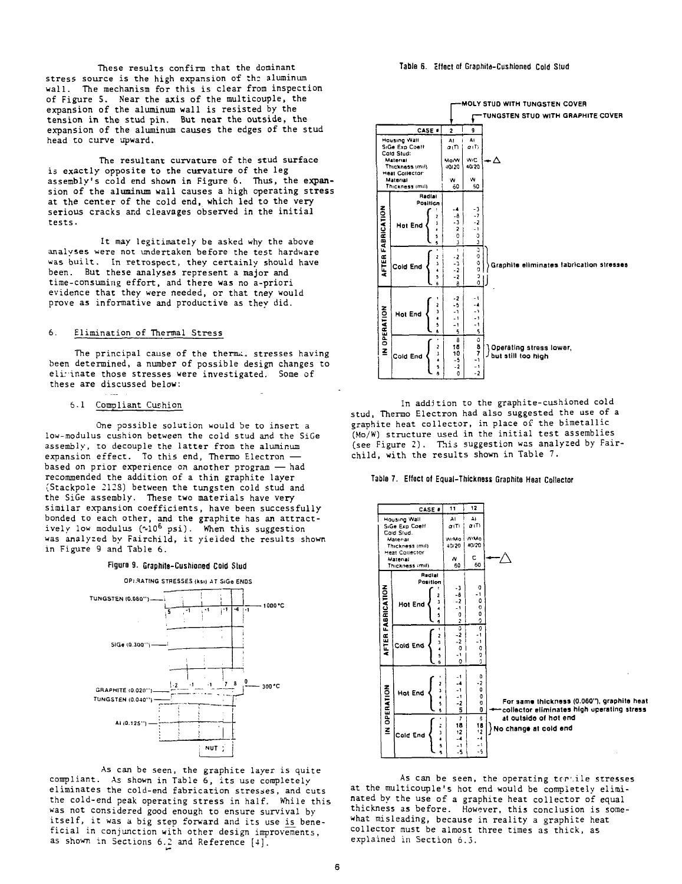These results confirm that the dominant stress source is the high expansion of the aluminum wall. The mechanism for this is clear from inspection of Figure 5. Near the axis of the multicouple, the expansion of the aluminum wall is resisted by the tension in the stud pin. But near the outside, the expansion of the aluminum causes the edges of the stud head to curve upward.

The resultant curvature of the stud surface is exactly opposite to the curvature of the leg assembly's cold end shown in Figure 6. Thus, the expansion of the aluminum wall causes a high operating stress at the center of the cold end, which led to the very serious cracks and cleavages observed in the initial tests.

It may legitimately be asked why the above analyses were not undertaken before the test hardware was built. In retrospect, they certainly should have been. But these analyses represent a major and time-consuming effort, and there was no a-priori evidence that they were needed, or that tney would prove as informative and productive as they did.

#### 6. Elimination of Thermal Stress

The principal cause of the thermal stresses having been determined, a number of possible design changes to eli: inate those stresses were investigated. Some of these are discussed below:

#### 6.1 Compliant Cushion

One possible solution would be to insert a low-modulus cushion between the cold stud and the SiGe assembly, to decouple the latter from the aluminum expansion effect. To this end, Thermo Electron based on prior experience on another program — had recommended the addition of a thin graphite layer (Stackpole 2128) between the tungsten cold stud and the SiGe assembly. These two materials have very similar expansion coefficients, have been successfully bonded to each other, and the graphite has an attractively low modulus (~10<sup>6</sup> psi). When this suggestion was analyzed by Fairchild, it yielded the results shown in Figure 9 and Table 6.





As can be seen, the graphite layer is quite compliant. As shown in Table 6, its use completely eliminates the cold-end fabrication stresses, and cuts the cold-end peak operating stress in half. While this was not considered good enough to ensure survival by itself, it was a big step forward and its use is beneficial in conjunction with other design improvements, as shown in Sections 6.2 and Reference [4]'.

**Table 6. cllact al Graphite-Cushioned Cold Stud**



In addition to the graphite-cushioned cold stud, Thermo Electron had also suggested the use of a graphite heat collector, in place of the bimetallic (Mo/W) structure used in the initial test assemblies (see Figure 2). This suggestion was analyzed by Fairchild, with the results shown in Table 7.





As can be seen, the operating tertile stresses at the multicouple's hot end would be completely eliminated by the use of a graphite heat collector of equal thickness as before. However, this conclusion is somewhat misleading, because in reality a graphite heat collector must be almost three times as thick, as explained in Section 6.3.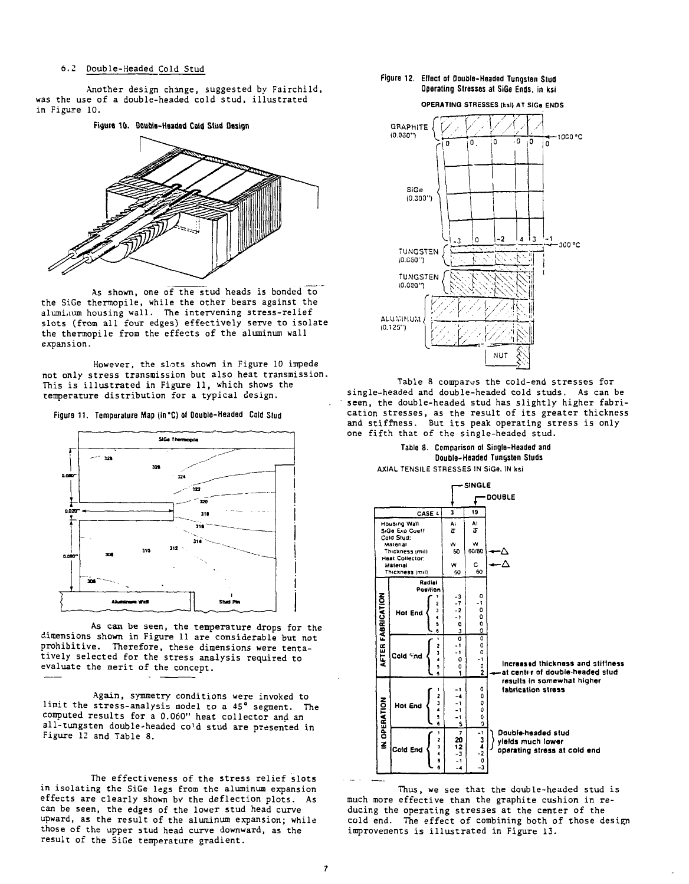#### 6.2 Double-Headed Cold Stud

Another design change, suggested by Fairchild, was the use of a double-headed cold stud, illustrated in Figure 10.



As shown, one of the stud heads is bonded to the SiGe thermopile, while the other bears against the aluminum housing wall. The intervening stress-relief slots (from all four edges) effectively serve to isolate the thermopile from the effects of the aluminum wall expansion.

However, the slots shown in Figure 10 impede not only stress transmission but also heat transmission. This is illustrated in Figure 11, which shows the temperature distribution for a typical design.

Figure 11. Temperature Map (in °C) of Double-Headed Cold Stud



As can be seen, the temperature drops for the dimensions shown in Figure 11 are considerable but not prohibitive. Therefore, these dimensions were tentatively selected for the stress analysis required to evaluate the merit of the concept.

Again, symmetry conditions were invoked to limit the stress-analysis model to a 45° segment. The computed results for a 0.060" heat collector and an all-tungsten double-headed cold stud are presented in Figure 12 and Table 8.

The effectiveness of the stress relief slots in isolating the SiGe legs from the aluminum expansion effects are clearly shown bv the deflection plots. As can be seen, the edges of the lower stud head curve upward, as the result of the aluminum expansion; while those of the upper stud head curve downward, as the result of the SiGe temperature gradient.

#### Figure 12. Eftect of Double-Headed Tungsten Stud Operating Stresses at SiGe Ends, in ksi

**OPERATING** STRESSES (kail AT SIGa ENDS



Table 8 compares the cold-end stresses for single-headed and double-headed cold studs. As can be seen, the double-headed stud has slightly higher fabrication stresses, as the result of its greater thickness and stiffness. But its peak operating stress is only one fifth that of the single-headed stud.





Thus, we see that the double-headed stud is much more effective than the graphite cushion in reducing the operating stresses at the center of the cold end. The effect of combining both of those design improvements is illustrated in Figure 13.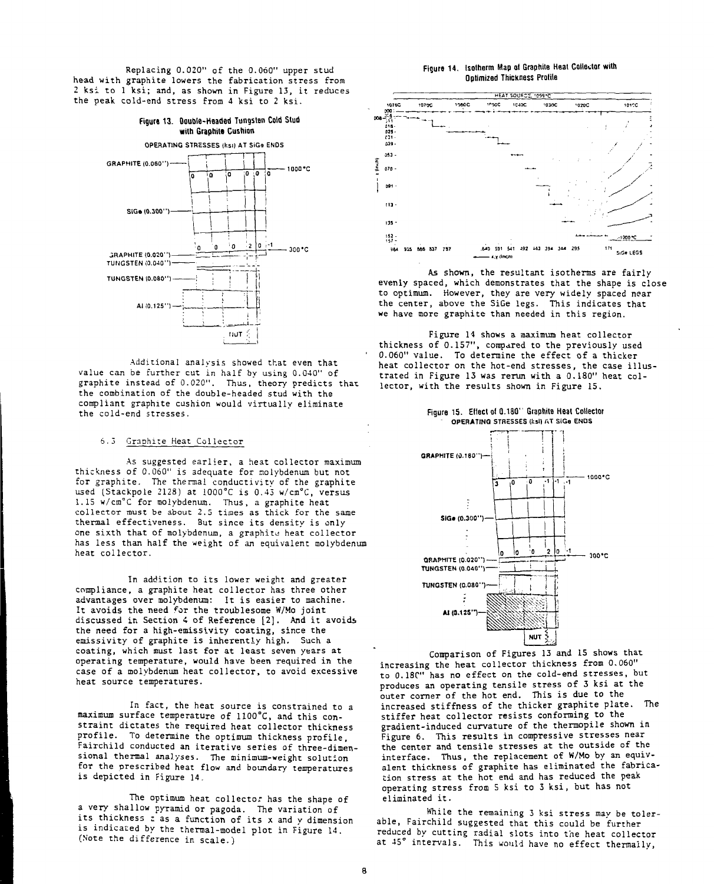Replacing 0.020" of the 0.060" upper stud head with graphite lowers the fabrication stress from 2 ksi to 1 ksi; and, as shown in Figure 13, it reduces the peak, cold-end stress from 4 ksi to 2 ksi.



Additional analysis showed that even that value can be further cut in half by using 0.040" of graphite instead of 0.020". Thus, theory predicts that the combination of the double-headed stud with the compliant graphite cushion would virtually eliminate the cold-end stresses.

#### 6.3 Graphite Heat Collector

As suggested earlier, a heat collector maximum thickness of 0.060" is adequate for molybdenum but not for graphite. The thermal conductivity of the graphite used (Stackpole 2128) at 1000°C is 0.43 w/cm°C, versus 1.15 w/cm°C for molybdenum. Thus, a graphite heat collector must be about 2.5 times as thick for the same thermal effectiveness. But since its density is only one sixth that of molybdenum, a graphite heat collector has less than half the weight of an equivalent molybdenum heat collector.

In addition to its lower weight and greater compliance, a graphite heat collector has three other advantages over molybdenum: It is easier to machine. It avoids the need for the troublesome W/Mo joint discussed in Section 4 of Reference [2]. And it avoids the need for a high-emissivity coating, since the emissivity of graphite is inherently high. Such a coating, which must last for at least seven years at operating temperature, would have been required in the case of a molybdenum heat collector, to avoid excessive heat source temperatures.

In fact, the heat source is constrained to a maximum surface temperature of 1100°C, and this constraint dictates the required heat collector thickness profile. To determine the optimum thickness profile, Fairchild conducted an iterative series of three-dimensional thermal analyses. The minimum-weight solution for the prescribed heat flow and boundary temperatures is depicted in Figure 14.

The optimum heat collector has the shape of a very shallow pyramid or pagoda. The variation of its thickness ; as a function of its x and y dimension is indicated by the thermal-model plot in Figure 14. (Note the difference in scale.)

#### **Figure 14. Isotherm Map at Graphite Heat Collector with Optimized Thickness Prolila**



As shown, the resultant isotherms are fairly evenly spaced, which demonstrates that the shape is close to optimum. However, they are very widely spaced near the center, above the SiGe legs. This indicates that we have more graphite than needed in this region.

Figure 14 shows a maximum heat collector thickness of 0.157", compared to the previously used 0.060" value. To determine the effect of a thicker heat collector on the hot-end stresses, the case illustrated in Figure 13 was rerun with a 0.180" heat collector, with the results shown in Figure 15.

**Figure 15. Ettect o( 0.180" Graphite Heat Collector OPERATING STRESSES (ksl) AT SIGO ENDS** 



Comparison of Figures 13 and 15 shows that increasing the heat collector thickness from 0.060" to 0.18C" has no effect on the cold-end stresses, but produces an operating tensile stress of 3 ksi at the outer corner of the hot end. This is due to the increased stiffness of the thicker graphite plate. The stiffer heat collector resists conforming to the gradient-induced curvature of the thermopile shown in Figure 6. This results in compressive stresses near the center and tensile stresses at the outside of the interface. Thus, the replacement of W/Mo by an equivalent thickness of graphite has eliminated the fabrication stress at the hot end and has reduced the peak operating stress from 5 ksi to 3 ksi, but has not eliminated it.

While the remaining 3 ksi stress may be tolerable, Fairchild suggested that this could be further reduced by cutting radial slots into the heat collector at 45° intervals. This would have no effect thermally,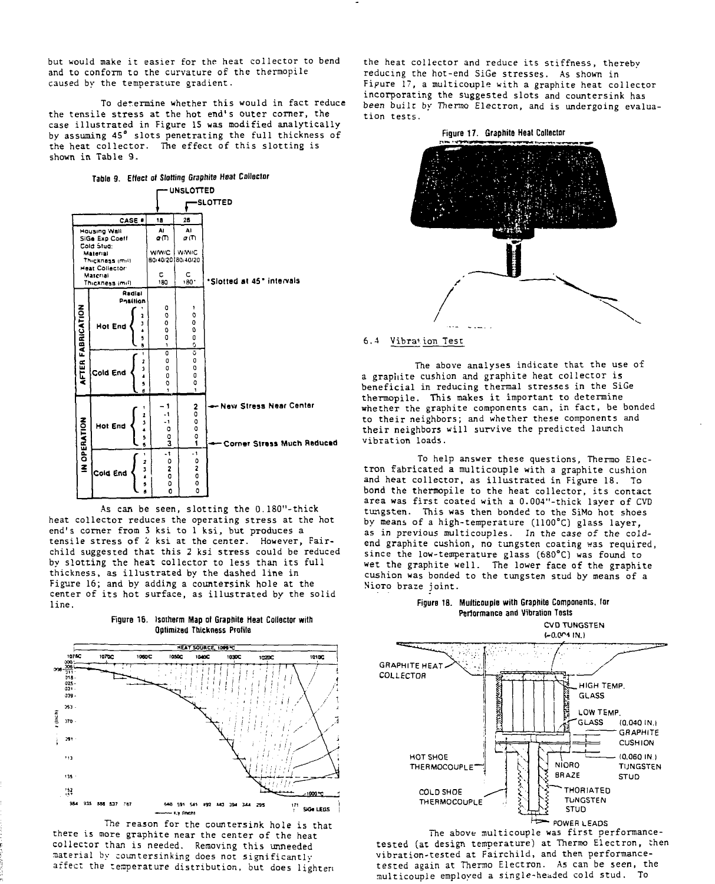but would make it easier for the heat collector to bend and to conform to the curvature of the thermopile caused by the temperature gradient.

To determine whether this would in fact reduce the tensile stress at the hot end's outer corner, the case illustrated in Figure IS was modified analytically by assuming 45° slots penetrating the full thickness of the heat collector. The effect of this slotting is shown in Table 9.

**Table 9. Effect ot Slotting Graphite Heat Collector**

|                              | Table 9.                           |                    |                   |                                           | Effect of Slotting Graphite rieat Construct |  |  |  |  |  |
|------------------------------|------------------------------------|--------------------|-------------------|-------------------------------------------|---------------------------------------------|--|--|--|--|--|
|                              |                                    |                    |                   | UNSLOTTED                                 |                                             |  |  |  |  |  |
| <b>SLOTTED</b>               |                                    |                    |                   |                                           |                                             |  |  |  |  |  |
| CASE .                       |                                    |                    | 18                | 26                                        |                                             |  |  |  |  |  |
| Housing Wall                 |                                    |                    | A۱                | AI                                        |                                             |  |  |  |  |  |
| SiGe Exp Coeff<br>Cold Stud: |                                    |                    | σm                | σm                                        |                                             |  |  |  |  |  |
| Material                     |                                    |                    | <b>W/W/C</b>      | <b>WAVIC</b>                              |                                             |  |  |  |  |  |
|                              | Thickness (mil)<br>Heat Collector: |                    | 80/40/20 80/40/20 |                                           |                                             |  |  |  |  |  |
| Material                     |                                    |                    | c                 | c                                         |                                             |  |  |  |  |  |
|                              | Thickness (mil)                    |                    | 180               | 180.7                                     | *Slotted at 45" intervals                   |  |  |  |  |  |
|                              |                                    | Radial<br>Position |                   |                                           |                                             |  |  |  |  |  |
|                              |                                    |                    | ٥                 | ۱                                         |                                             |  |  |  |  |  |
|                              | <b>Hot End</b>                     | 1<br>J             | O<br>o            | O<br>o                                    |                                             |  |  |  |  |  |
| <b>AFTER FABRICATION</b>     |                                    |                    | $\mathbf 0$       | Û                                         |                                             |  |  |  |  |  |
|                              |                                    | 5<br>ă             | Q<br>f.           | O<br>ō                                    |                                             |  |  |  |  |  |
|                              |                                    |                    | o                 | ō                                         |                                             |  |  |  |  |  |
|                              |                                    | ı<br><sup>3</sup>  | o<br>O            | 0<br>0                                    |                                             |  |  |  |  |  |
|                              | Cold End                           | A                  | 0                 | O                                         |                                             |  |  |  |  |  |
|                              |                                    | 5<br>ß             | 0<br>1            | Q<br>$\mathbf{I}$                         |                                             |  |  |  |  |  |
|                              |                                    |                    |                   |                                           |                                             |  |  |  |  |  |
|                              |                                    |                    | 1<br>- 1          | 2<br>٥                                    | <b>New Stress Near Center</b>               |  |  |  |  |  |
|                              |                                    | 2<br>J             | - 1               | $\begin{smallmatrix}0\0\end{smallmatrix}$ |                                             |  |  |  |  |  |
|                              | Hot End                            |                    | O                 |                                           |                                             |  |  |  |  |  |
|                              |                                    | 5<br>6             | $\frac{0}{3}$     | $\frac{0}{1}$                             | Corner Stress Much Raduced                  |  |  |  |  |  |
| IN OPERATION                 |                                    |                    | 4                 | - 1                                       |                                             |  |  |  |  |  |
|                              |                                    | 2<br>3             | ٥<br>2            | ٥<br>2                                    |                                             |  |  |  |  |  |
|                              | Cold End                           | ś                  | o                 | 0                                         |                                             |  |  |  |  |  |
|                              |                                    | 5<br>ń             | ٥<br>Ō            | 0<br>o                                    |                                             |  |  |  |  |  |
|                              |                                    |                    |                   |                                           |                                             |  |  |  |  |  |

As can be seen, slotting the 0.180"-thick heat collector reduces the operating stress at the hot end's corner from 3 ksi to 1 ksi, but produces a tensile stress of 2 ksi at the center. However, Fairchild suggested that this *2* ksi stress could be reduced by slotting the heat collector to less than its full thickness, as illustrated by the dashed line in Figure 16; and by adding a countersink hole at the center of its hot surface, as illustrated by the solid line.

**Figure 16. Isoiherm Map ot Graphite Heat Collector with Optimized Thickness Prattle**



The reason for the countersink hole is that there is more graphite near the center of the heat collector than is needed. Removing this unneeded material by countersinking does not significantly affect the temperature distribution, but does lighten the heat collector and reduce its stiffness, thereby reducing the hot-end SiGe stresses. As shown in Fipure 17, a multicouple with a graphite heat collector incorporating the suggested slots and countersink has been built by Thermo Electron, and is undergoing evaluation tests.



#### 6. 4 Vibrar ion Test

The above analyses indicate that the use of a graphite cushion and graphite heat collector is beneficial in reducing thermal stresses in the SiGe thermopile. This makes it important to determine whether the graphite components can, in fact, be bonded to their neighbors; and whether these components and their neighbors will survive the predicted launch vibration loads.

To help answer these questions, Thermo Electron fabricated a multicouple with a graphite cushion and heat collector, as illustrated in Figure 18. To bond the thermopile to the heat collector, its contact area was first coated with a 0.004"-thick layer of CVD tungsten. This was then bonded to the SiMo hot shoes by means of a high-temperature (1100°C) glass layer, as in previous multicouples. In the case of the coldend graphite cushion, no tungsten coating was required, since the low-temperature glass (680°C) was found to wet the graphite well. The lower face of the graphite cushion was bonded to the tungsten stud by means of a Nioro braze joint.



CVD TUNGSTEN



The above multicouple was first performancetested (at design temperature) at Thermo Electron, then vibration-tested at Fairchild, and then performancetested again at Thermo Electron. As can be seen, the multicouple employed a single-headed cold stud. To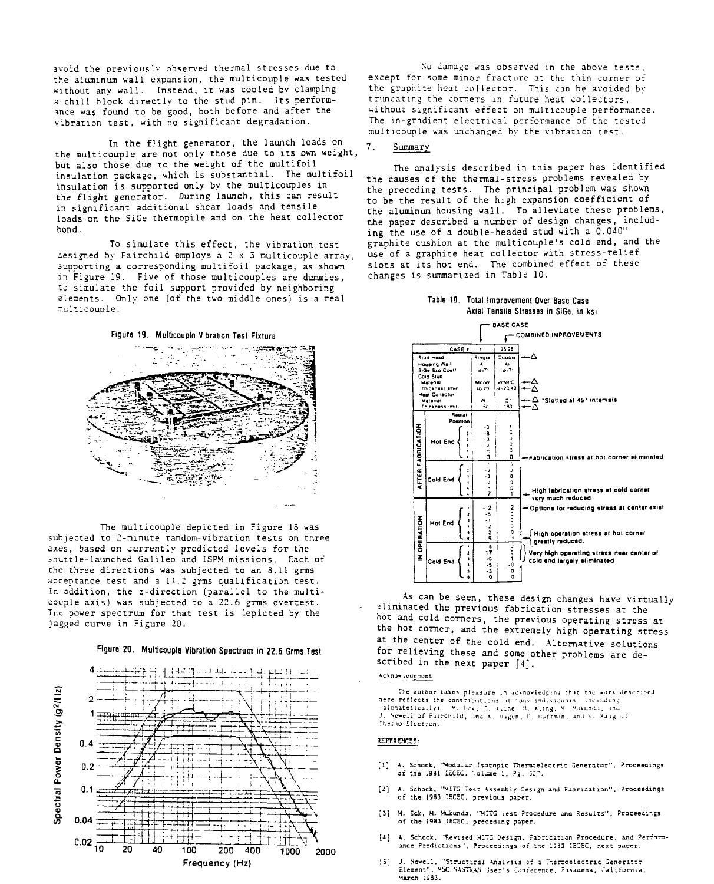avoid the previously observed thermal stresses due to the aluminum wall expansion, the multicouple was tested without any wall. Instead, it was cooled by clamping a chill block directly to the stud pin. Its performance was found to be good, both before and after the vibration test, with no significant degradation.

In the flight generator, the launch loads on the multicouple are not only those due to its own weight, but also those due to the weight of the multifoil insulation package, which is substantial. The multifoil insulation is supported only by the multicouples in the flight generator. During launch, this can result in significant additional shear loads and tensile loads on the SiGe thermopile and on the heat collector bond.

To simulate this effect, the vibration test designed by Fairchild employs a 2 x 3 multicouple array, supporting a corresponding multifoil package, as shown in Figure 19. Five of those multicouples are dummies, to simulate the foil support provided by neighboring elements. Only one (of the two middle ones) is a real nulticouple.

**Figure 19. Multicouplo Vibration TasI Fixture**



The multicouple depicted in Figure 18 was subjected to 2-minute random-vibration tests on three axes, based on currently predicted levels for the shuttle-launched Galileo and ISPM missions. Each of the three directions was subjected to an  $8.11$  grms acceptance test and a 11.2 grms qualification test. In addition, the z-direction (parallel to the multicouple axis) was subjected to a 22.6 grms overtest. Tnc power spectrum for that test is lepicted by the jagged curve in Figure 20.





No damage was observed in the above tests, except for some minor fracture at the thin corner of the graphite heat collector. This can be avoided by truncating the comers in future heat collectors, without significant effect on multicouple performance. The in-gradient electrical performance of the tested multicouple was unchanged by the vibration test.

#### 7. Summary

The analysis described in this paper has identified the causes of the thermal-stress problems revealed by the preceding tests. The principal problem was shown to be the result of the high expansion coefficient of the aluminum housing wall. To alleviate these problems, the paper described a number of design changes, including the use of a double-headed stud with a 0.040" graphite cushion at the multicouple's cold end, and the use of a graphite heat collector with stress-relief slots at its hot end. The combined effect of these changes is summarized in Table 10.





As can be seen, these design changes have virtually eliminated the previous fabrication stresses at the hot and cold corners, the previous operating stress at the hot corner, and the extremely high operating stress at the center of the cold end. Alternative solutions for relieving these and some other problems are described in the next paper [4J.

#### Acknowledement

The author takes pleasure in acknowledging that the work described .albnabetically): ^ M. Lck, f. sline, !1. kling, M.<br>J. Sewell of Falrcnild, and s. Hagen, F. Huffman. Thermo *Llvaron.*

#### REFERENCES:

- [1] A. Schock, "Modular Isotopic Theraoelectric Generator", Proceedings of the 1981 LECEC, Voluae 1, ?g. 527.
- [2] A, Schock, "MITG Test Assembly Design and Fabrication", Proceedings<br>of the 1983 IEC3C, previous paper.
- [3] M. Eck, M. Mukunda, "MITG iest Procedure and Results", Proceedings of the 1983 IECEC, preceding paper.
- [4] A. Schock, "Revised MITG Design, Pabrication Procedure, and Performance Predictions", Proceedings at the 1333 IECSC, next paper.
- [5] J. Newell, "Structural Analysis of a Thermoelectric Generator Element", MSC'Y-ViTnAN Jser' s Ionfsr:nce, Pasaaena, Caliramia. March 1933.